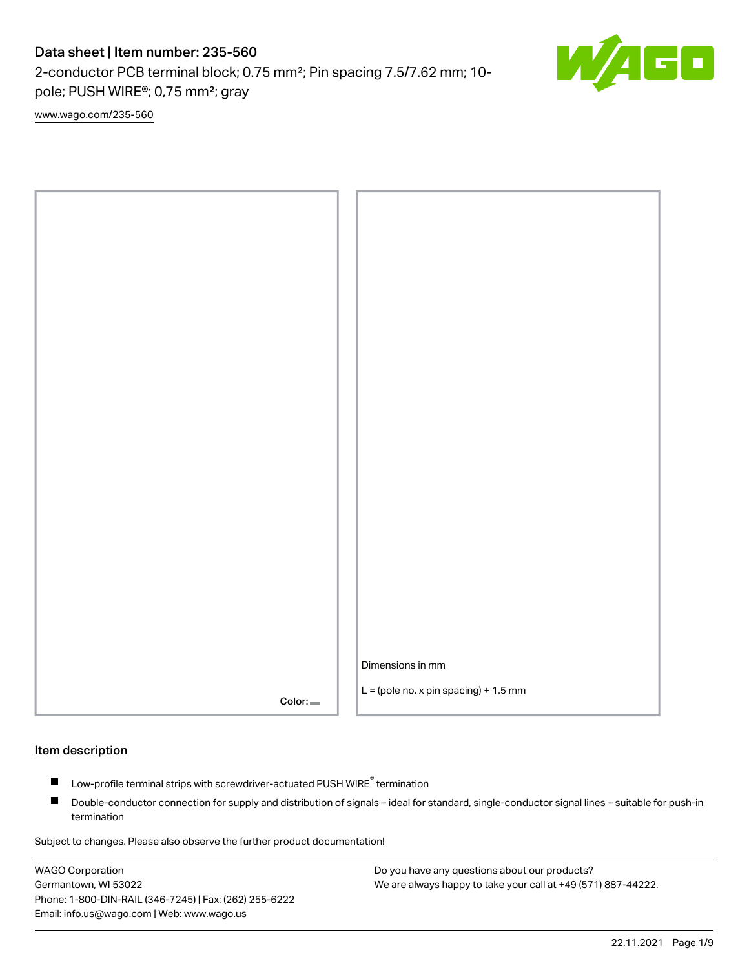2-conductor PCB terminal block; 0.75 mm²; Pin spacing 7.5/7.62 mm; 10 pole; PUSH WIRE®; 0,75 mm²; gray

G۶

[www.wago.com/235-560](http://www.wago.com/235-560)



### Item description

- Low-profile terminal strips with screwdriver-actuated PUSH WIRE<sup>®</sup> termination П
- $\blacksquare$ Double-conductor connection for supply and distribution of signals – ideal for standard, single-conductor signal lines – suitable for push-in termination

Subject to changes. Please also observe the further product documentation!

WAGO Corporation Germantown, WI 53022 Phone: 1-800-DIN-RAIL (346-7245) | Fax: (262) 255-6222 Email: info.us@wago.com | Web: www.wago.us

Do you have any questions about our products? We are always happy to take your call at +49 (571) 887-44222.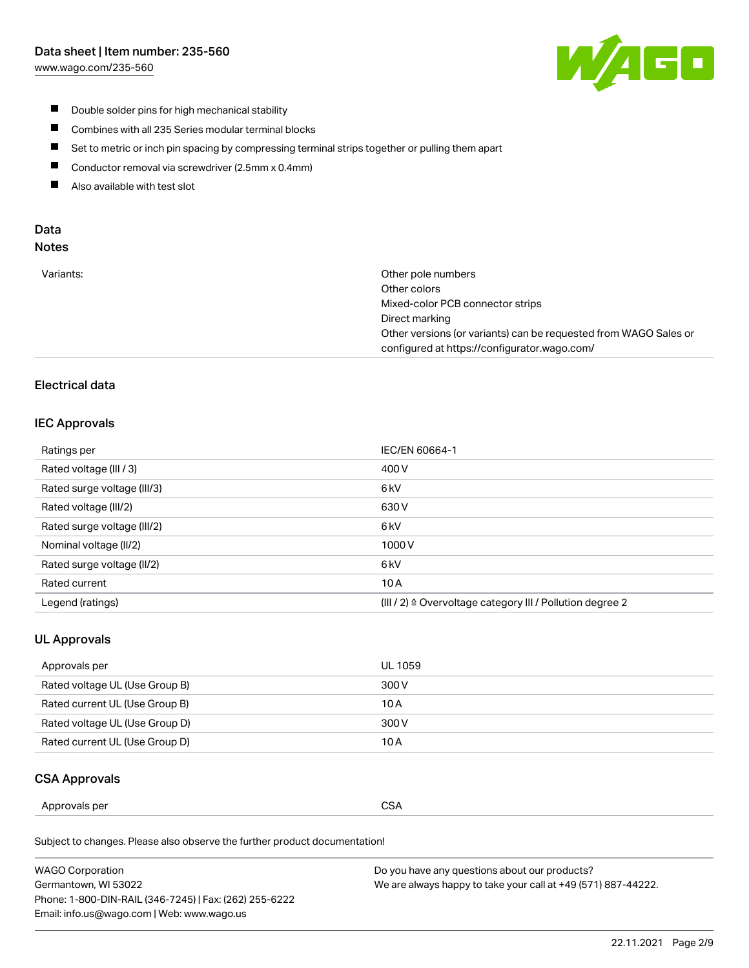[www.wago.com/235-560](http://www.wago.com/235-560)



- $\blacksquare$ Double solder pins for high mechanical stability
- $\blacksquare$ Combines with all 235 Series modular terminal blocks
- $\blacksquare$ Set to metric or inch pin spacing by compressing terminal strips together or pulling them apart
- $\blacksquare$ Conductor removal via screwdriver (2.5mm x 0.4mm)
- $\blacksquare$ Also available with test slot

# Data

# Notes

| Variants: | Other pole numbers<br>Other colors                               |
|-----------|------------------------------------------------------------------|
|           | Mixed-color PCB connector strips                                 |
|           | Direct marking                                                   |
|           | Other versions (or variants) can be requested from WAGO Sales or |
|           | configured at https://configurator.wago.com/                     |
|           |                                                                  |

# Electrical data

## IEC Approvals

| Ratings per                 | IEC/EN 60664-1                                                        |
|-----------------------------|-----------------------------------------------------------------------|
| Rated voltage (III / 3)     | 400 V                                                                 |
| Rated surge voltage (III/3) | 6 <sub>kV</sub>                                                       |
| Rated voltage (III/2)       | 630 V                                                                 |
| Rated surge voltage (III/2) | 6 <sub>kV</sub>                                                       |
| Nominal voltage (II/2)      | 1000V                                                                 |
| Rated surge voltage (II/2)  | 6 <sub>kV</sub>                                                       |
| Rated current               | 10A                                                                   |
| Legend (ratings)            | $(III / 2)$ $\triangle$ Overvoltage category III / Pollution degree 2 |

# UL Approvals

| Approvals per                  | UL 1059 |
|--------------------------------|---------|
| Rated voltage UL (Use Group B) | 300 V   |
| Rated current UL (Use Group B) | 10 A    |
| Rated voltage UL (Use Group D) | 300 V   |
| Rated current UL (Use Group D) | 10 A    |

# CSA Approvals

| Approvals per<br>. | $\sim$<br>$\sim$<br>ບບ⊓<br>$ -$ |
|--------------------|---------------------------------|
|--------------------|---------------------------------|

Subject to changes. Please also observe the further product documentation!

| WAGO Corporation                                       | Do you have any questions about our products?                 |
|--------------------------------------------------------|---------------------------------------------------------------|
| Germantown, WI 53022                                   | We are always happy to take your call at +49 (571) 887-44222. |
| Phone: 1-800-DIN-RAIL (346-7245)   Fax: (262) 255-6222 |                                                               |
| Email: info.us@wago.com   Web: www.wago.us             |                                                               |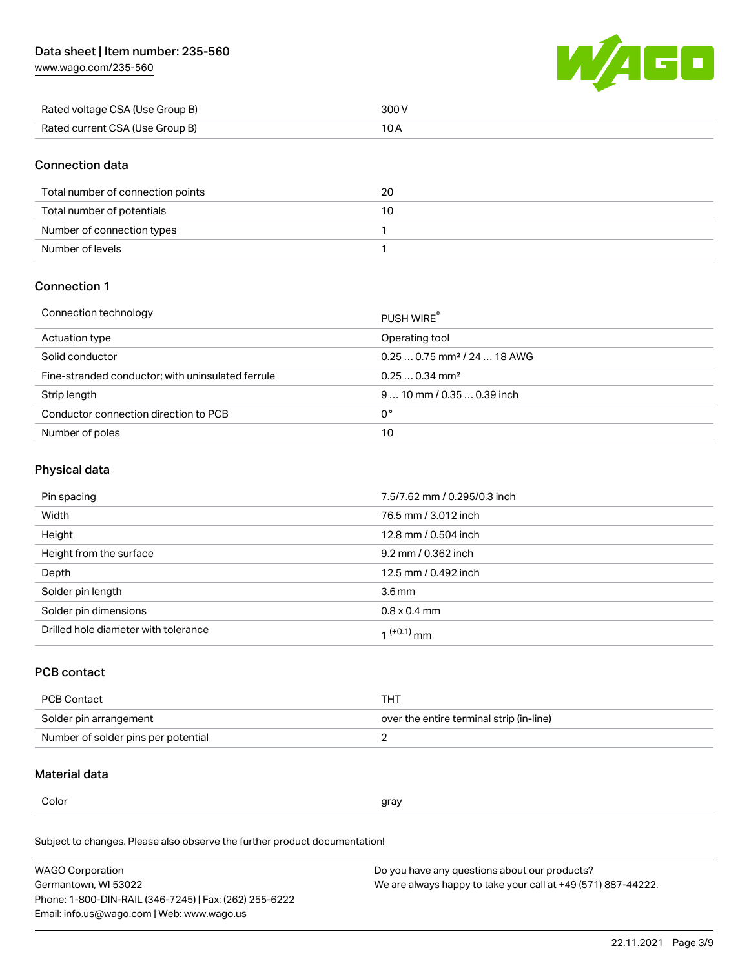[www.wago.com/235-560](http://www.wago.com/235-560)



| Rated voltage CSA (Use Group B) | 300 V |
|---------------------------------|-------|
| Rated current CSA (Use Group B) |       |

## Connection data

| Total number of connection points | 20 |
|-----------------------------------|----|
| Total number of potentials        |    |
| Number of connection types        |    |
| Number of levels                  |    |

## Connection 1

#### Connection technology PUSH WIRE® PUSH WIRE®

|                                                   | <b>PUSH WIRE</b>                        |
|---------------------------------------------------|-----------------------------------------|
| Actuation type                                    | Operating tool                          |
| Solid conductor                                   | $0.250.75$ mm <sup>2</sup> / 24  18 AWG |
| Fine-stranded conductor; with uninsulated ferrule | $0.250.34$ mm <sup>2</sup>              |
| Strip length                                      | $910$ mm / 0.35  0.39 inch              |
| Conductor connection direction to PCB             | 0°                                      |
| Number of poles                                   | 10                                      |

## Physical data

| Pin spacing                          | 7.5/7.62 mm / 0.295/0.3 inch |
|--------------------------------------|------------------------------|
| Width                                | 76.5 mm / 3.012 inch         |
| Height                               | 12.8 mm / 0.504 inch         |
| Height from the surface              | 9.2 mm / 0.362 inch          |
| Depth                                | 12.5 mm / 0.492 inch         |
| Solder pin length                    | $3.6 \,\mathrm{mm}$          |
| Solder pin dimensions                | $0.8 \times 0.4$ mm          |
| Drilled hole diameter with tolerance | $1^{(+0.1)}$ mm              |

# PCB contact

| PCB Contact                         | THT                                      |
|-------------------------------------|------------------------------------------|
| Solder pin arrangement              | over the entire terminal strip (in-line) |
| Number of solder pins per potential |                                          |

# Material data

 $\alpha$  gray

Subject to changes. Please also observe the further product documentation! Material group I

| <b>WAGO Corporation</b>                                | Do you have any questions about our products?                 |
|--------------------------------------------------------|---------------------------------------------------------------|
| Germantown, WI 53022                                   | We are always happy to take your call at +49 (571) 887-44222. |
| Phone: 1-800-DIN-RAIL (346-7245)   Fax: (262) 255-6222 |                                                               |
| Email: info.us@wago.com   Web: www.wago.us             |                                                               |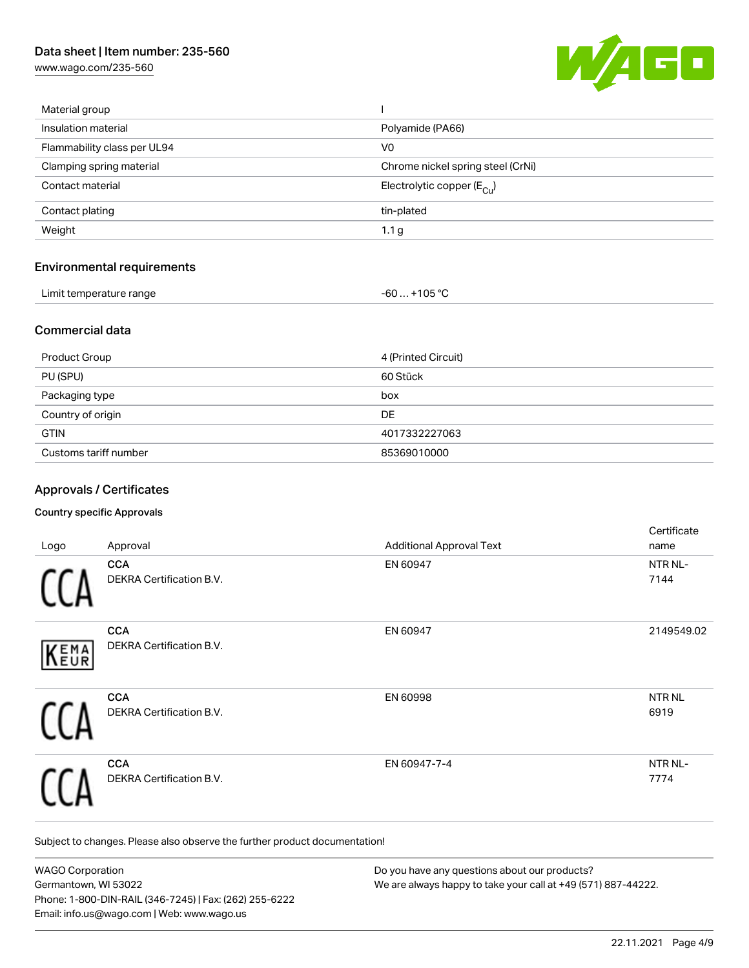[www.wago.com/235-560](http://www.wago.com/235-560)



| Material group                    |                                       |
|-----------------------------------|---------------------------------------|
| Insulation material               | Polyamide (PA66)                      |
| Flammability class per UL94       | V <sub>0</sub>                        |
| Clamping spring material          | Chrome nickel spring steel (CrNi)     |
| Contact material                  | Electrolytic copper $(E_{\text{CL}})$ |
| Contact plating                   | tin-plated                            |
| Weight                            | 1.1 <sub>g</sub>                      |
| <b>Environmental requirements</b> |                                       |
| Limit temperature range           | $-60+105 °C$                          |

## Commercial data

| Product Group         | 4 (Printed Circuit) |
|-----------------------|---------------------|
| PU (SPU)              | 60 Stück            |
| Packaging type        | box                 |
| Country of origin     | DE                  |
| <b>GTIN</b>           | 4017332227063       |
| Customs tariff number | 85369010000         |

# Approvals / Certificates

### Country specific Approvals

| Logo | Approval                                      | <b>Additional Approval Text</b> | Certificate<br>name       |
|------|-----------------------------------------------|---------------------------------|---------------------------|
|      | <b>CCA</b><br>DEKRA Certification B.V.        | EN 60947                        | NTR NL-<br>7144           |
| KEMA | <b>CCA</b><br>DEKRA Certification B.V.        | EN 60947                        | 2149549.02                |
|      | <b>CCA</b><br>DEKRA Certification B.V.        | EN 60998                        | NTR <sub>NL</sub><br>6919 |
|      | <b>CCA</b><br><b>DEKRA Certification B.V.</b> | EN 60947-7-4                    | NTR NL-<br>7774           |

Subject to changes. Please also observe the further product documentation!

| <b>WAGO Corporation</b>                                | Do you have any questions about our products?                 |
|--------------------------------------------------------|---------------------------------------------------------------|
| Germantown, WI 53022                                   | We are always happy to take your call at +49 (571) 887-44222. |
| Phone: 1-800-DIN-RAIL (346-7245)   Fax: (262) 255-6222 |                                                               |
| Email: info.us@wago.com   Web: www.wago.us             |                                                               |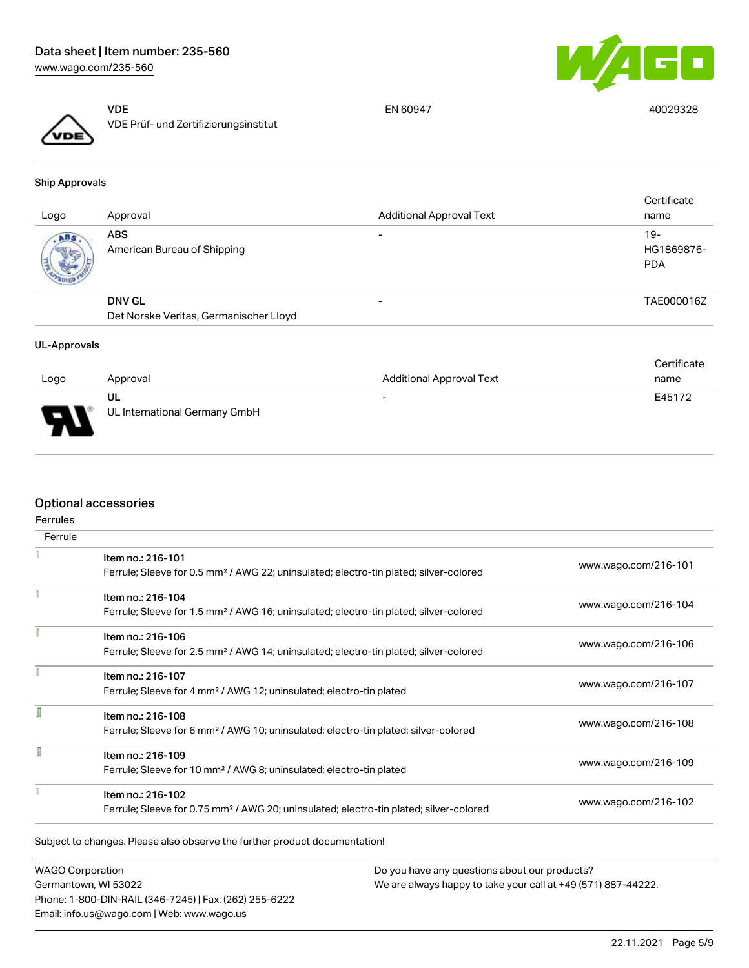

VDE VDE Prüf- und Zertifizierungsinstitut

EN 60947 40029328

Ship Approvals

| Logo | Approval                                  | <b>Additional Approval Text</b> | Certificate<br>name               |
|------|-------------------------------------------|---------------------------------|-----------------------------------|
| ABS  | <b>ABS</b><br>American Bureau of Shipping | $\overline{\phantom{0}}$        | $19-$<br>HG1869876-<br><b>PDA</b> |
|      | <b>DNV GL</b>                             | $\overline{\phantom{0}}$        | TAE000016Z                        |
|      | Det Norske Veritas, Germanischer Lloyd    |                                 |                                   |

#### UL-Approvals

|                       |                                     |                                 | Certificate |
|-----------------------|-------------------------------------|---------------------------------|-------------|
| Logo                  | Approval                            | <b>Additional Approval Text</b> | name        |
| $\blacksquare$<br>- 1 | UL<br>UL International Germany GmbH | $\overline{\phantom{a}}$        | E45172      |

# Optional accessories

| <b>Ferrules</b> |                                                                                                    |                      |  |
|-----------------|----------------------------------------------------------------------------------------------------|----------------------|--|
| Ferrule         |                                                                                                    |                      |  |
|                 | Item no.: 216-101                                                                                  |                      |  |
|                 | Ferrule; Sleeve for 0.5 mm <sup>2</sup> / AWG 22; uninsulated; electro-tin plated; silver-colored  | www.wago.com/216-101 |  |
|                 | Item no.: 216-104                                                                                  | www.wago.com/216-104 |  |
|                 | Ferrule; Sleeve for 1.5 mm <sup>2</sup> / AWG 16; uninsulated; electro-tin plated; silver-colored  |                      |  |
|                 | Item no.: 216-106                                                                                  |                      |  |
|                 | Ferrule; Sleeve for 2.5 mm <sup>2</sup> / AWG 14; uninsulated; electro-tin plated; silver-colored  | www.wago.com/216-106 |  |
|                 | Item no.: 216-107                                                                                  |                      |  |
|                 | Ferrule; Sleeve for 4 mm <sup>2</sup> / AWG 12; uninsulated; electro-tin plated                    | www.wago.com/216-107 |  |
|                 | Item no.: 216-108                                                                                  |                      |  |
|                 | Ferrule; Sleeve for 6 mm <sup>2</sup> / AWG 10; uninsulated; electro-tin plated; silver-colored    | www.wago.com/216-108 |  |
|                 | Item no.: 216-109                                                                                  |                      |  |
|                 | Ferrule; Sleeve for 10 mm <sup>2</sup> / AWG 8; uninsulated; electro-tin plated                    | www.wago.com/216-109 |  |
|                 | Item no.: 216-102                                                                                  |                      |  |
|                 | Ferrule; Sleeve for 0.75 mm <sup>2</sup> / AWG 20; uninsulated; electro-tin plated; silver-colored | www.wago.com/216-102 |  |

WAGO Corporation Germantown, WI 53022 Phone: 1-800-DIN-RAIL (346-7245) | Fax: (262) 255-6222 Email: info.us@wago.com | Web: www.wago.us

Do you have any questions about our products? We are always happy to take your call at +49 (571) 887-44222.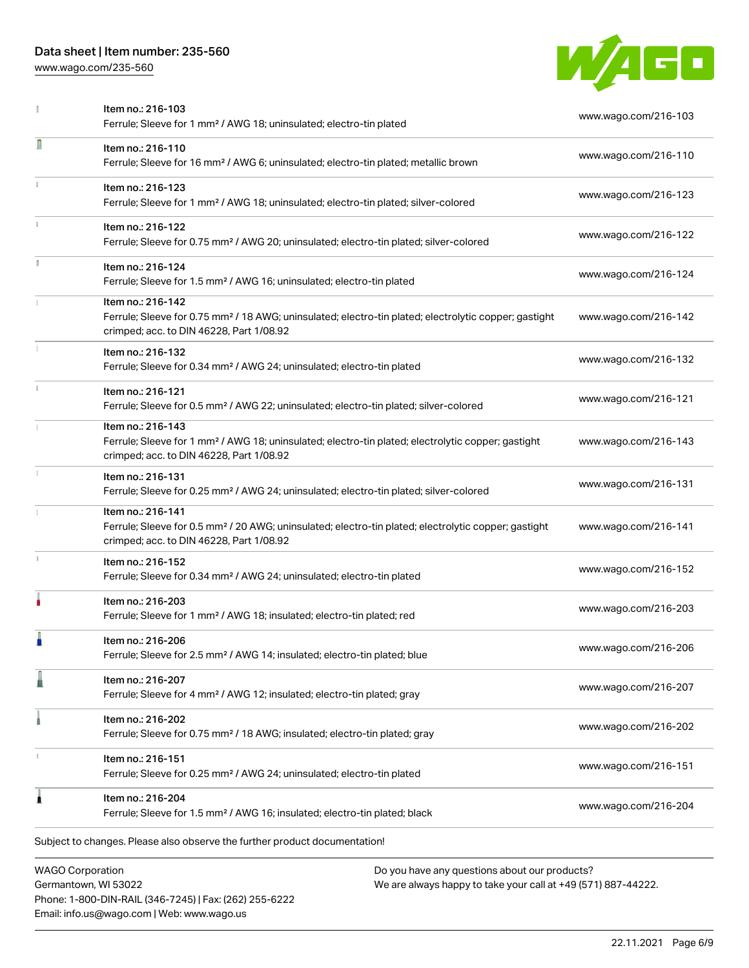Phone: 1-800-DIN-RAIL (346-7245) | Fax: (262) 255-6222

Email: info.us@wago.com | Web: www.wago.us

[www.wago.com/235-560](http://www.wago.com/235-560)



|               | Item no.: 216-103<br>Ferrule; Sleeve for 1 mm <sup>2</sup> / AWG 18; uninsulated; electro-tin plated                                                                               |                                                                                                                | www.wago.com/216-103 |
|---------------|------------------------------------------------------------------------------------------------------------------------------------------------------------------------------------|----------------------------------------------------------------------------------------------------------------|----------------------|
| Ω             | Item no.: 216-110<br>Ferrule; Sleeve for 16 mm <sup>2</sup> / AWG 6; uninsulated; electro-tin plated; metallic brown                                                               |                                                                                                                | www.wago.com/216-110 |
|               | Item no.: 216-123<br>Ferrule; Sleeve for 1 mm <sup>2</sup> / AWG 18; uninsulated; electro-tin plated; silver-colored                                                               |                                                                                                                | www.wago.com/216-123 |
| $\frac{1}{3}$ | Item no.: 216-122<br>Ferrule; Sleeve for 0.75 mm <sup>2</sup> / AWG 20; uninsulated; electro-tin plated; silver-colored                                                            |                                                                                                                | www.wago.com/216-122 |
|               | Item no.: 216-124<br>Ferrule; Sleeve for 1.5 mm <sup>2</sup> / AWG 16; uninsulated; electro-tin plated                                                                             |                                                                                                                | www.wago.com/216-124 |
|               | Item no.: 216-142<br>Ferrule; Sleeve for 0.75 mm <sup>2</sup> / 18 AWG; uninsulated; electro-tin plated; electrolytic copper; gastight<br>crimped; acc. to DIN 46228, Part 1/08.92 |                                                                                                                | www.wago.com/216-142 |
|               | Item no.: 216-132<br>Ferrule; Sleeve for 0.34 mm <sup>2</sup> / AWG 24; uninsulated; electro-tin plated                                                                            |                                                                                                                | www.wago.com/216-132 |
|               | Item no.: 216-121<br>Ferrule; Sleeve for 0.5 mm <sup>2</sup> / AWG 22; uninsulated; electro-tin plated; silver-colored                                                             |                                                                                                                | www.wago.com/216-121 |
|               | Item no.: 216-143<br>Ferrule; Sleeve for 1 mm <sup>2</sup> / AWG 18; uninsulated; electro-tin plated; electrolytic copper; gastight<br>crimped; acc. to DIN 46228, Part 1/08.92    |                                                                                                                | www.wago.com/216-143 |
|               | Item no.: 216-131<br>Ferrule; Sleeve for 0.25 mm <sup>2</sup> / AWG 24; uninsulated; electro-tin plated; silver-colored                                                            |                                                                                                                | www.wago.com/216-131 |
|               | Item no.: 216-141<br>Ferrule; Sleeve for 0.5 mm <sup>2</sup> / 20 AWG; uninsulated; electro-tin plated; electrolytic copper; gastight<br>crimped; acc. to DIN 46228, Part 1/08.92  |                                                                                                                | www.wago.com/216-141 |
|               | Item no.: 216-152<br>Ferrule; Sleeve for 0.34 mm <sup>2</sup> / AWG 24; uninsulated; electro-tin plated                                                                            |                                                                                                                | www.wago.com/216-152 |
|               | Item no.: 216-203<br>Ferrule; Sleeve for 1 mm <sup>2</sup> / AWG 18; insulated; electro-tin plated; red                                                                            |                                                                                                                | www.wago.com/216-203 |
|               | Item no.: 216-206<br>Ferrule; Sleeve for 2.5 mm <sup>2</sup> / AWG 14; insulated; electro-tin plated; blue                                                                         |                                                                                                                | www.wago.com/216-206 |
|               | Item no.: 216-207<br>Ferrule; Sleeve for 4 mm <sup>2</sup> / AWG 12; insulated; electro-tin plated; gray                                                                           |                                                                                                                | www.wago.com/216-207 |
|               | Item no.: 216-202<br>Ferrule; Sleeve for 0.75 mm <sup>2</sup> / 18 AWG; insulated; electro-tin plated; gray                                                                        |                                                                                                                | www.wago.com/216-202 |
|               | Item no.: 216-151<br>Ferrule; Sleeve for 0.25 mm <sup>2</sup> / AWG 24; uninsulated; electro-tin plated                                                                            |                                                                                                                | www.wago.com/216-151 |
| ı             | Item no.: 216-204<br>Ferrule; Sleeve for 1.5 mm <sup>2</sup> / AWG 16; insulated; electro-tin plated; black                                                                        |                                                                                                                | www.wago.com/216-204 |
|               | Subject to changes. Please also observe the further product documentation!                                                                                                         |                                                                                                                |                      |
|               | <b>WAGO Corporation</b><br>Germantown, WI 53022                                                                                                                                    | Do you have any questions about our products?<br>We are always happy to take your call at +49 (571) 887-44222. |                      |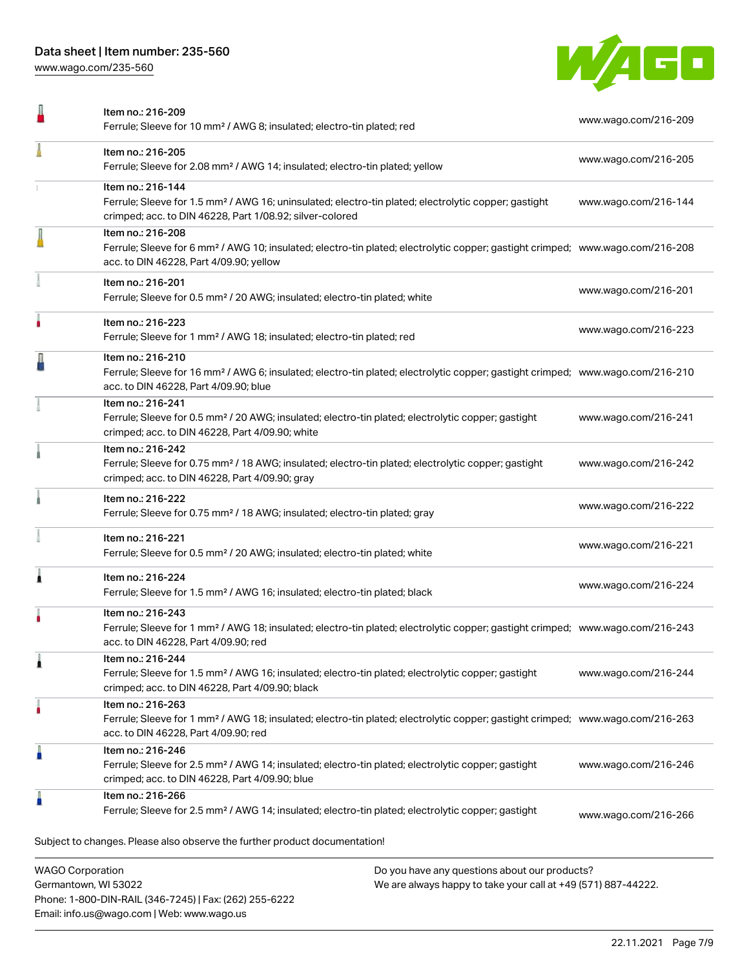Phone: 1-800-DIN-RAIL (346-7245) | Fax: (262) 255-6222

Email: info.us@wago.com | Web: www.wago.us

[www.wago.com/235-560](http://www.wago.com/235-560)



| Item no.: 216-209<br>Ferrule; Sleeve for 10 mm <sup>2</sup> / AWG 8; insulated; electro-tin plated; red                                                                                                    |                                                                                                                | www.wago.com/216-209 |
|------------------------------------------------------------------------------------------------------------------------------------------------------------------------------------------------------------|----------------------------------------------------------------------------------------------------------------|----------------------|
| Item no.: 216-205<br>Ferrule; Sleeve for 2.08 mm <sup>2</sup> / AWG 14; insulated; electro-tin plated; yellow                                                                                              |                                                                                                                | www.wago.com/216-205 |
| Item no.: 216-144<br>Ferrule; Sleeve for 1.5 mm <sup>2</sup> / AWG 16; uninsulated; electro-tin plated; electrolytic copper; gastight<br>crimped; acc. to DIN 46228, Part 1/08.92; silver-colored          |                                                                                                                | www.wago.com/216-144 |
| Item no.: 216-208<br>Ferrule; Sleeve for 6 mm <sup>2</sup> / AWG 10; insulated; electro-tin plated; electrolytic copper; gastight crimped; www.wago.com/216-208<br>acc. to DIN 46228, Part 4/09.90; yellow |                                                                                                                |                      |
| Item no.: 216-201<br>Ferrule; Sleeve for 0.5 mm <sup>2</sup> / 20 AWG; insulated; electro-tin plated; white                                                                                                |                                                                                                                | www.wago.com/216-201 |
| Item no.: 216-223<br>Ferrule; Sleeve for 1 mm <sup>2</sup> / AWG 18; insulated; electro-tin plated; red                                                                                                    |                                                                                                                | www.wago.com/216-223 |
| Item no.: 216-210<br>Ferrule; Sleeve for 16 mm <sup>2</sup> / AWG 6; insulated; electro-tin plated; electrolytic copper; gastight crimped; www.wago.com/216-210<br>acc. to DIN 46228, Part 4/09.90; blue   |                                                                                                                |                      |
| Item no.: 216-241<br>Ferrule; Sleeve for 0.5 mm <sup>2</sup> / 20 AWG; insulated; electro-tin plated; electrolytic copper; gastight<br>crimped; acc. to DIN 46228, Part 4/09.90; white                     |                                                                                                                | www.wago.com/216-241 |
| Item no.: 216-242<br>Ferrule; Sleeve for 0.75 mm <sup>2</sup> / 18 AWG; insulated; electro-tin plated; electrolytic copper; gastight<br>crimped; acc. to DIN 46228, Part 4/09.90; gray                     |                                                                                                                | www.wago.com/216-242 |
| Item no.: 216-222<br>Ferrule; Sleeve for 0.75 mm <sup>2</sup> / 18 AWG; insulated; electro-tin plated; gray                                                                                                |                                                                                                                | www.wago.com/216-222 |
| Item no.: 216-221<br>Ferrule; Sleeve for 0.5 mm <sup>2</sup> / 20 AWG; insulated; electro-tin plated; white                                                                                                |                                                                                                                | www.wago.com/216-221 |
| Item no.: 216-224<br>Ferrule; Sleeve for 1.5 mm <sup>2</sup> / AWG 16; insulated; electro-tin plated; black                                                                                                |                                                                                                                | www.wago.com/216-224 |
| Item no.: 216-243<br>Ferrule; Sleeve for 1 mm <sup>2</sup> / AWG 18; insulated; electro-tin plated; electrolytic copper; gastight crimped; www.wago.com/216-243<br>acc. to DIN 46228, Part 4/09.90; red    |                                                                                                                |                      |
| Item no.: 216-244<br>Ferrule; Sleeve for 1.5 mm <sup>2</sup> / AWG 16; insulated; electro-tin plated; electrolytic copper; gastight<br>crimped; acc. to DIN 46228, Part 4/09.90; black                     |                                                                                                                | www.wago.com/216-244 |
| Item no.: 216-263<br>Ferrule; Sleeve for 1 mm <sup>2</sup> / AWG 18; insulated; electro-tin plated; electrolytic copper; gastight crimped; www.wago.com/216-263<br>acc. to DIN 46228, Part 4/09.90; red    |                                                                                                                |                      |
| Item no.: 216-246<br>Ferrule; Sleeve for 2.5 mm <sup>2</sup> / AWG 14; insulated; electro-tin plated; electrolytic copper; gastight<br>crimped; acc. to DIN 46228, Part 4/09.90; blue                      |                                                                                                                | www.wago.com/216-246 |
| Item no.: 216-266<br>Ferrule; Sleeve for 2.5 mm <sup>2</sup> / AWG 14; insulated; electro-tin plated; electrolytic copper; gastight                                                                        |                                                                                                                | www.wago.com/216-266 |
| Subject to changes. Please also observe the further product documentation!                                                                                                                                 |                                                                                                                |                      |
| <b>WAGO Corporation</b><br>Germantown, WI 53022                                                                                                                                                            | Do you have any questions about our products?<br>We are always happy to take your call at +49 (571) 887-44222. |                      |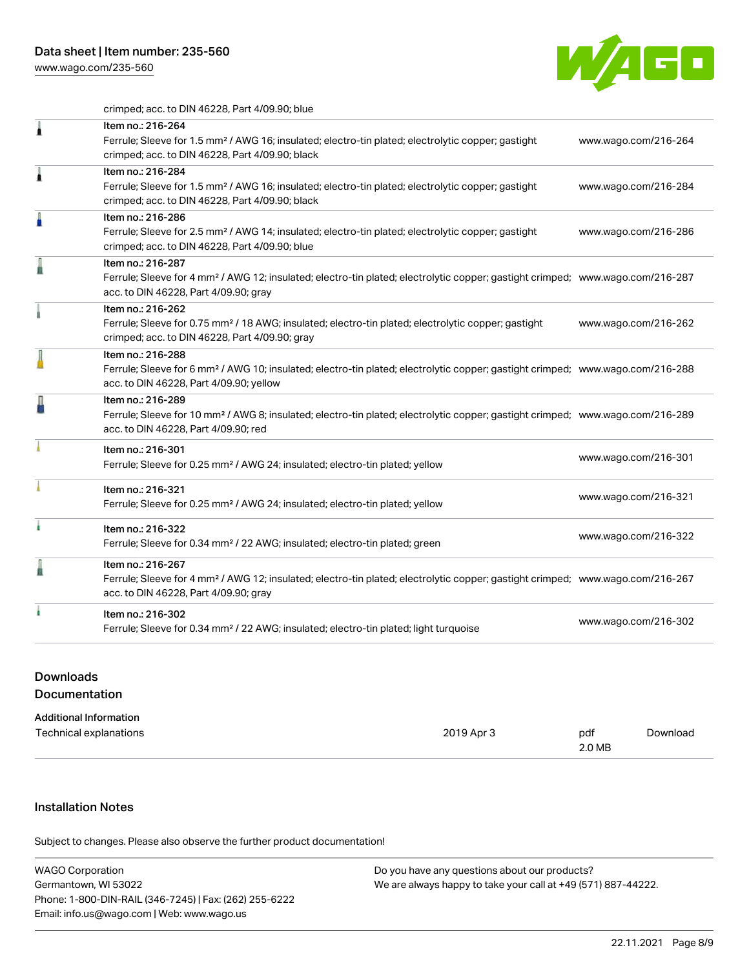[www.wago.com/235-560](http://www.wago.com/235-560)



crimped; acc. to DIN 46228, Part 4/09.90; blue

| 1 | Item no.: 216-264<br>Ferrule; Sleeve for 1.5 mm <sup>2</sup> / AWG 16; insulated; electro-tin plated; electrolytic copper; gastight<br>crimped; acc. to DIN 46228, Part 4/09.90; black                     | www.wago.com/216-264 |
|---|------------------------------------------------------------------------------------------------------------------------------------------------------------------------------------------------------------|----------------------|
| Â | Item no.: 216-284<br>Ferrule; Sleeve for 1.5 mm <sup>2</sup> / AWG 16; insulated; electro-tin plated; electrolytic copper; gastight<br>crimped; acc. to DIN 46228, Part 4/09.90; black                     | www.wago.com/216-284 |
| I | Item no.: 216-286<br>Ferrule; Sleeve for 2.5 mm <sup>2</sup> / AWG 14; insulated; electro-tin plated; electrolytic copper; gastight<br>crimped; acc. to DIN 46228, Part 4/09.90; blue                      | www.wago.com/216-286 |
|   | Item no.: 216-287<br>Ferrule; Sleeve for 4 mm <sup>2</sup> / AWG 12; insulated; electro-tin plated; electrolytic copper; gastight crimped; www.wago.com/216-287<br>acc. to DIN 46228, Part 4/09.90; gray   |                      |
|   | Item no.: 216-262<br>Ferrule; Sleeve for 0.75 mm <sup>2</sup> / 18 AWG; insulated; electro-tin plated; electrolytic copper; gastight<br>crimped; acc. to DIN 46228, Part 4/09.90; gray                     | www.wago.com/216-262 |
|   | Item no.: 216-288<br>Ferrule; Sleeve for 6 mm <sup>2</sup> / AWG 10; insulated; electro-tin plated; electrolytic copper; gastight crimped; www.wago.com/216-288<br>acc. to DIN 46228, Part 4/09.90; yellow |                      |
|   | Item no.: 216-289<br>Ferrule; Sleeve for 10 mm <sup>2</sup> / AWG 8; insulated; electro-tin plated; electrolytic copper; gastight crimped; www.wago.com/216-289<br>acc. to DIN 46228, Part 4/09.90; red    |                      |
|   | Item no.: 216-301<br>Ferrule; Sleeve for 0.25 mm <sup>2</sup> / AWG 24; insulated; electro-tin plated; yellow                                                                                              | www.wago.com/216-301 |
|   | Item no.: 216-321<br>Ferrule; Sleeve for 0.25 mm <sup>2</sup> / AWG 24; insulated; electro-tin plated; yellow                                                                                              | www.wago.com/216-321 |
|   | Item no.: 216-322<br>Ferrule; Sleeve for 0.34 mm <sup>2</sup> / 22 AWG; insulated; electro-tin plated; green                                                                                               | www.wago.com/216-322 |
|   | Item no.: 216-267<br>Ferrule; Sleeve for 4 mm <sup>2</sup> / AWG 12; insulated; electro-tin plated; electrolytic copper; gastight crimped; www.wago.com/216-267<br>acc. to DIN 46228, Part 4/09.90; gray   |                      |
|   | Item no.: 216-302<br>Ferrule; Sleeve for 0.34 mm <sup>2</sup> / 22 AWG; insulated; electro-tin plated; light turquoise                                                                                     | www.wago.com/216-302 |

# Downloads Documentation

| <b>Additional Information</b> |            |        |          |
|-------------------------------|------------|--------|----------|
| Technical explanations        | 2019 Apr 3 | pdf    | Download |
|                               |            | 2.0 MB |          |

# Installation Notes

Subject to changes. Please also observe the further product documentation!

| <b>WAGO Corporation</b>                                | Do you have any questions about our products?                 |
|--------------------------------------------------------|---------------------------------------------------------------|
| Germantown, WI 53022                                   | We are always happy to take your call at +49 (571) 887-44222. |
| Phone: 1-800-DIN-RAIL (346-7245)   Fax: (262) 255-6222 |                                                               |
| Email: info.us@wago.com   Web: www.wago.us             |                                                               |